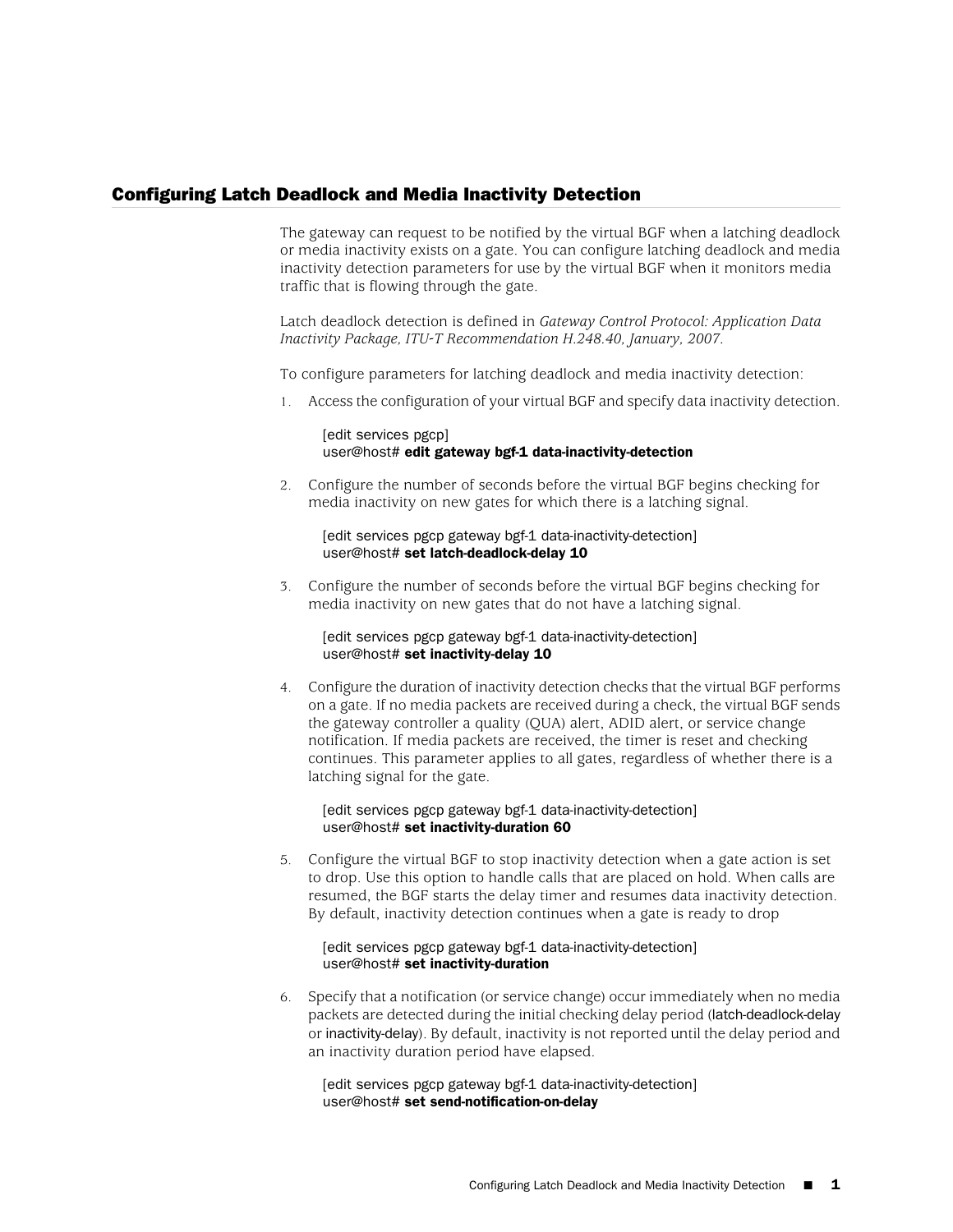## Configuring Latch Deadlock and Media Inactivity Detection

The gateway can request to be notified by the virtual BGF when a latching deadlock or media inactivity exists on a gate. You can configure latching deadlock and media inactivity detection parameters for use by the virtual BGF when it monitors media traffic that is flowing through the gate.

Latch deadlock detection is defined in *Gateway Control Protocol: Application Data Inactivity Package, ITU-T Recommendation H.248.40, January, 2007.*

To configure parameters for latching deadlock and media inactivity detection:

1. Access the configuration of your virtual BGF and specify data inactivity detection.

[edit services pgcp] user@host# edit gateway bgf-1 data-inactivity-detection

2. Configure the number of seconds before the virtual BGF begins checking for media inactivity on new gates for which there is a latching signal.

[edit services pgcp gateway bgf-1 data-inactivity-detection] user@host# set latch-deadlock-delay 10

3. Configure the number of seconds before the virtual BGF begins checking for media inactivity on new gates that do not have a latching signal.

[edit services pgcp gateway bgf-1 data-inactivity-detection] user@host# set inactivity-delay 10

4. Configure the duration of inactivity detection checks that the virtual BGF performs on a gate. If no media packets are received during a check, the virtual BGF sends the gateway controller a quality (QUA) alert, ADID alert, or service change notification. If media packets are received, the timer is reset and checking continues. This parameter applies to all gates, regardless of whether there is a latching signal for the gate.

[edit services pgcp gateway bgf-1 data-inactivity-detection] user@host# set inactivity-duration 60

5. Configure the virtual BGF to stop inactivity detection when a gate action is set to drop. Use this option to handle calls that are placed on hold. When calls are resumed, the BGF starts the delay timer and resumes data inactivity detection. By default, inactivity detection continues when a gate is ready to drop

[edit services pgcp gateway bgf-1 data-inactivity-detection] user@host# set inactivity-duration

6. Specify that a notification (or service change) occur immediately when no media packets are detected during the initial checking delay period (latch-deadlock-delay or inactivity-delay). By default, inactivity is not reported until the delay period and an inactivity duration period have elapsed.

[edit services pgcp gateway bgf-1 data-inactivity-detection] user@host# set send-notification-on-delay